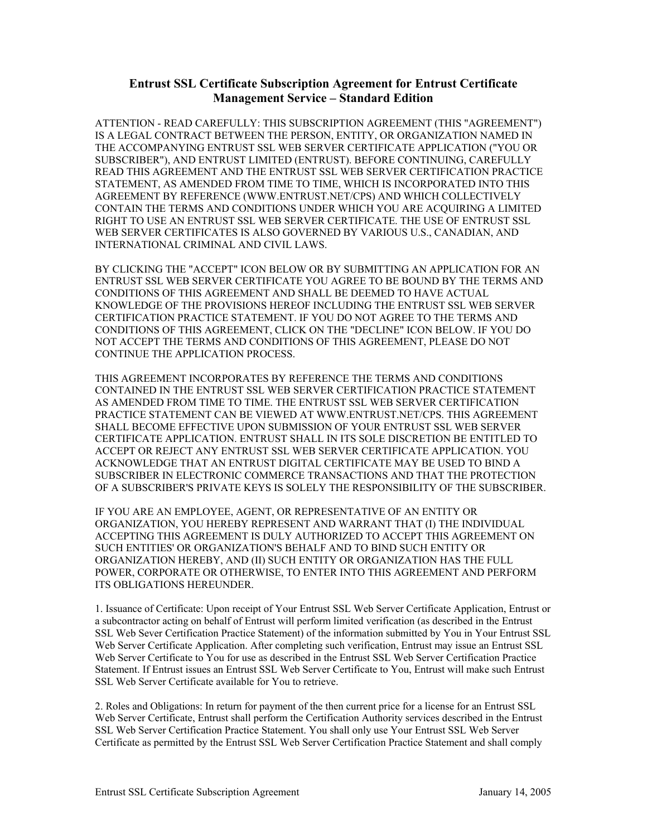## **Entrust SSL Certificate Subscription Agreement for Entrust Certificate Management Service – Standard Edition**

ATTENTION - READ CAREFULLY: THIS SUBSCRIPTION AGREEMENT (THIS "AGREEMENT") IS A LEGAL CONTRACT BETWEEN THE PERSON, ENTITY, OR ORGANIZATION NAMED IN THE ACCOMPANYING ENTRUST SSL WEB SERVER CERTIFICATE APPLICATION ("YOU OR SUBSCRIBER"), AND ENTRUST LIMITED (ENTRUST). BEFORE CONTINUING, CAREFULLY READ THIS AGREEMENT AND THE ENTRUST SSL WEB SERVER CERTIFICATION PRACTICE STATEMENT, AS AMENDED FROM TIME TO TIME, WHICH IS INCORPORATED INTO THIS AGREEMENT BY REFERENCE (WWW.ENTRUST.NET/CPS) AND WHICH COLLECTIVELY CONTAIN THE TERMS AND CONDITIONS UNDER WHICH YOU ARE ACQUIRING A LIMITED RIGHT TO USE AN ENTRUST SSL WEB SERVER CERTIFICATE. THE USE OF ENTRUST SSL WEB SERVER CERTIFICATES IS ALSO GOVERNED BY VARIOUS U.S., CANADIAN, AND INTERNATIONAL CRIMINAL AND CIVIL LAWS.

BY CLICKING THE "ACCEPT" ICON BELOW OR BY SUBMITTING AN APPLICATION FOR AN ENTRUST SSL WEB SERVER CERTIFICATE YOU AGREE TO BE BOUND BY THE TERMS AND CONDITIONS OF THIS AGREEMENT AND SHALL BE DEEMED TO HAVE ACTUAL KNOWLEDGE OF THE PROVISIONS HEREOF INCLUDING THE ENTRUST SSL WEB SERVER CERTIFICATION PRACTICE STATEMENT. IF YOU DO NOT AGREE TO THE TERMS AND CONDITIONS OF THIS AGREEMENT, CLICK ON THE "DECLINE" ICON BELOW. IF YOU DO NOT ACCEPT THE TERMS AND CONDITIONS OF THIS AGREEMENT, PLEASE DO NOT CONTINUE THE APPLICATION PROCESS.

THIS AGREEMENT INCORPORATES BY REFERENCE THE TERMS AND CONDITIONS CONTAINED IN THE ENTRUST SSL WEB SERVER CERTIFICATION PRACTICE STATEMENT AS AMENDED FROM TIME TO TIME. THE ENTRUST SSL WEB SERVER CERTIFICATION PRACTICE STATEMENT CAN BE VIEWED AT WWW.ENTRUST.NET/CPS. THIS AGREEMENT SHALL BECOME EFFECTIVE UPON SUBMISSION OF YOUR ENTRUST SSL WEB SERVER CERTIFICATE APPLICATION. ENTRUST SHALL IN ITS SOLE DISCRETION BE ENTITLED TO ACCEPT OR REJECT ANY ENTRUST SSL WEB SERVER CERTIFICATE APPLICATION. YOU ACKNOWLEDGE THAT AN ENTRUST DIGITAL CERTIFICATE MAY BE USED TO BIND A SUBSCRIBER IN ELECTRONIC COMMERCE TRANSACTIONS AND THAT THE PROTECTION OF A SUBSCRIBER'S PRIVATE KEYS IS SOLELY THE RESPONSIBILITY OF THE SUBSCRIBER.

IF YOU ARE AN EMPLOYEE, AGENT, OR REPRESENTATIVE OF AN ENTITY OR ORGANIZATION, YOU HEREBY REPRESENT AND WARRANT THAT (I) THE INDIVIDUAL ACCEPTING THIS AGREEMENT IS DULY AUTHORIZED TO ACCEPT THIS AGREEMENT ON SUCH ENTITIES' OR ORGANIZATION'S BEHALF AND TO BIND SUCH ENTITY OR ORGANIZATION HEREBY, AND (II) SUCH ENTITY OR ORGANIZATION HAS THE FULL POWER, CORPORATE OR OTHERWISE, TO ENTER INTO THIS AGREEMENT AND PERFORM ITS OBLIGATIONS HEREUNDER.

1. Issuance of Certificate: Upon receipt of Your Entrust SSL Web Server Certificate Application, Entrust or a subcontractor acting on behalf of Entrust will perform limited verification (as described in the Entrust SSL Web Sever Certification Practice Statement) of the information submitted by You in Your Entrust SSL Web Server Certificate Application. After completing such verification, Entrust may issue an Entrust SSL Web Server Certificate to You for use as described in the Entrust SSL Web Server Certification Practice Statement. If Entrust issues an Entrust SSL Web Server Certificate to You, Entrust will make such Entrust SSL Web Server Certificate available for You to retrieve.

2. Roles and Obligations: In return for payment of the then current price for a license for an Entrust SSL Web Server Certificate, Entrust shall perform the Certification Authority services described in the Entrust SSL Web Server Certification Practice Statement. You shall only use Your Entrust SSL Web Server Certificate as permitted by the Entrust SSL Web Server Certification Practice Statement and shall comply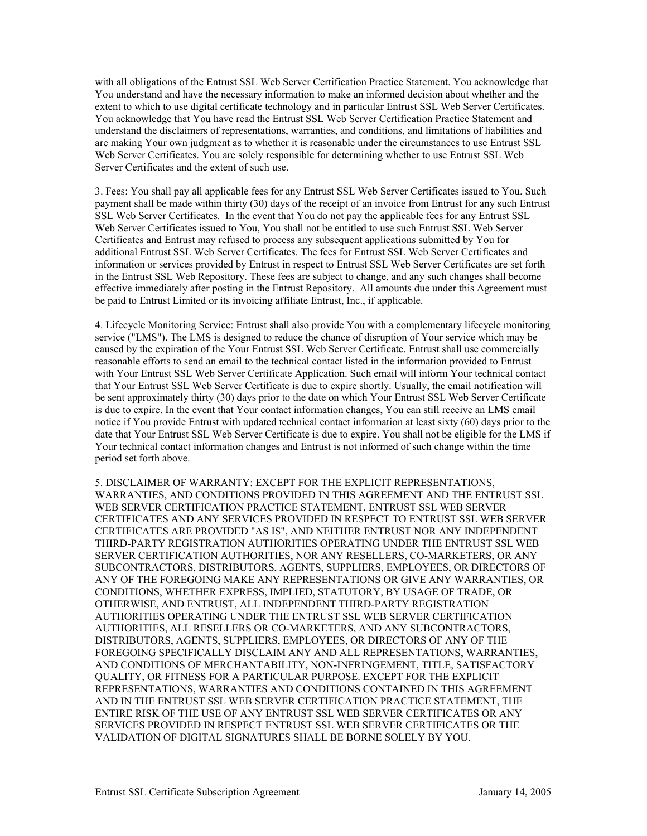with all obligations of the Entrust SSL Web Server Certification Practice Statement. You acknowledge that You understand and have the necessary information to make an informed decision about whether and the extent to which to use digital certificate technology and in particular Entrust SSL Web Server Certificates. You acknowledge that You have read the Entrust SSL Web Server Certification Practice Statement and understand the disclaimers of representations, warranties, and conditions, and limitations of liabilities and are making Your own judgment as to whether it is reasonable under the circumstances to use Entrust SSL Web Server Certificates. You are solely responsible for determining whether to use Entrust SSL Web Server Certificates and the extent of such use.

3. Fees: You shall pay all applicable fees for any Entrust SSL Web Server Certificates issued to You. Such payment shall be made within thirty (30) days of the receipt of an invoice from Entrust for any such Entrust SSL Web Server Certificates. In the event that You do not pay the applicable fees for any Entrust SSL Web Server Certificates issued to You, You shall not be entitled to use such Entrust SSL Web Server Certificates and Entrust may refused to process any subsequent applications submitted by You for additional Entrust SSL Web Server Certificates. The fees for Entrust SSL Web Server Certificates and information or services provided by Entrust in respect to Entrust SSL Web Server Certificates are set forth in the Entrust SSL Web Repository. These fees are subject to change, and any such changes shall become effective immediately after posting in the Entrust Repository. All amounts due under this Agreement must be paid to Entrust Limited or its invoicing affiliate Entrust, Inc., if applicable.

4. Lifecycle Monitoring Service: Entrust shall also provide You with a complementary lifecycle monitoring service ("LMS"). The LMS is designed to reduce the chance of disruption of Your service which may be caused by the expiration of the Your Entrust SSL Web Server Certificate. Entrust shall use commercially reasonable efforts to send an email to the technical contact listed in the information provided to Entrust with Your Entrust SSL Web Server Certificate Application. Such email will inform Your technical contact that Your Entrust SSL Web Server Certificate is due to expire shortly. Usually, the email notification will be sent approximately thirty (30) days prior to the date on which Your Entrust SSL Web Server Certificate is due to expire. In the event that Your contact information changes, You can still receive an LMS email notice if You provide Entrust with updated technical contact information at least sixty (60) days prior to the date that Your Entrust SSL Web Server Certificate is due to expire. You shall not be eligible for the LMS if Your technical contact information changes and Entrust is not informed of such change within the time period set forth above.

5. DISCLAIMER OF WARRANTY: EXCEPT FOR THE EXPLICIT REPRESENTATIONS, WARRANTIES, AND CONDITIONS PROVIDED IN THIS AGREEMENT AND THE ENTRUST SSL WEB SERVER CERTIFICATION PRACTICE STATEMENT, ENTRUST SSL WEB SERVER CERTIFICATES AND ANY SERVICES PROVIDED IN RESPECT TO ENTRUST SSL WEB SERVER CERTIFICATES ARE PROVIDED "AS IS", AND NEITHER ENTRUST NOR ANY INDEPENDENT THIRD-PARTY REGISTRATION AUTHORITIES OPERATING UNDER THE ENTRUST SSL WEB SERVER CERTIFICATION AUTHORITIES, NOR ANY RESELLERS, CO-MARKETERS, OR ANY SUBCONTRACTORS, DISTRIBUTORS, AGENTS, SUPPLIERS, EMPLOYEES, OR DIRECTORS OF ANY OF THE FOREGOING MAKE ANY REPRESENTATIONS OR GIVE ANY WARRANTIES, OR CONDITIONS, WHETHER EXPRESS, IMPLIED, STATUTORY, BY USAGE OF TRADE, OR OTHERWISE, AND ENTRUST, ALL INDEPENDENT THIRD-PARTY REGISTRATION AUTHORITIES OPERATING UNDER THE ENTRUST SSL WEB SERVER CERTIFICATION AUTHORITIES, ALL RESELLERS OR CO-MARKETERS, AND ANY SUBCONTRACTORS, DISTRIBUTORS, AGENTS, SUPPLIERS, EMPLOYEES, OR DIRECTORS OF ANY OF THE FOREGOING SPECIFICALLY DISCLAIM ANY AND ALL REPRESENTATIONS, WARRANTIES, AND CONDITIONS OF MERCHANTABILITY, NON-INFRINGEMENT, TITLE, SATISFACTORY QUALITY, OR FITNESS FOR A PARTICULAR PURPOSE. EXCEPT FOR THE EXPLICIT REPRESENTATIONS, WARRANTIES AND CONDITIONS CONTAINED IN THIS AGREEMENT AND IN THE ENTRUST SSL WEB SERVER CERTIFICATION PRACTICE STATEMENT, THE ENTIRE RISK OF THE USE OF ANY ENTRUST SSL WEB SERVER CERTIFICATES OR ANY SERVICES PROVIDED IN RESPECT ENTRUST SSL WEB SERVER CERTIFICATES OR THE VALIDATION OF DIGITAL SIGNATURES SHALL BE BORNE SOLELY BY YOU.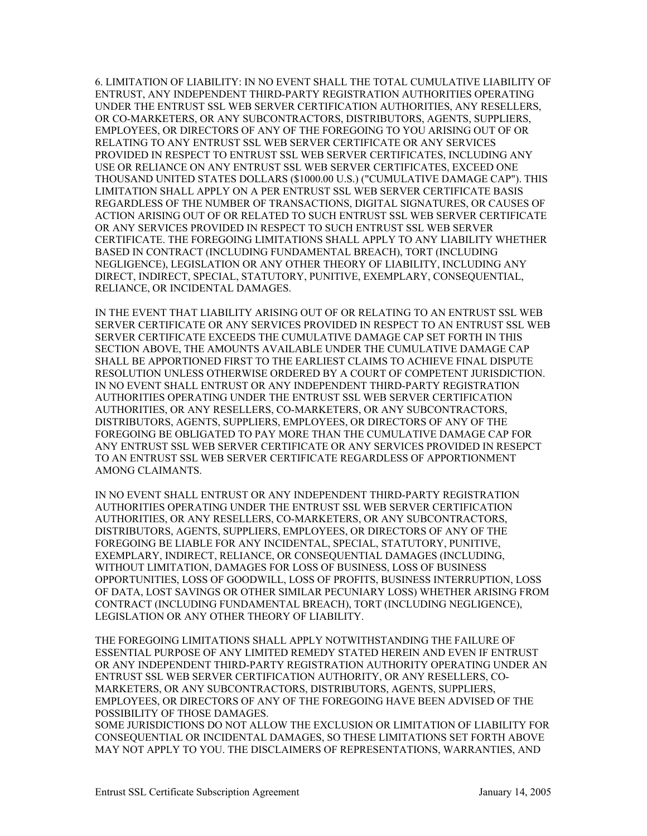6. LIMITATION OF LIABILITY: IN NO EVENT SHALL THE TOTAL CUMULATIVE LIABILITY OF ENTRUST, ANY INDEPENDENT THIRD-PARTY REGISTRATION AUTHORITIES OPERATING UNDER THE ENTRUST SSL WEB SERVER CERTIFICATION AUTHORITIES, ANY RESELLERS, OR CO-MARKETERS, OR ANY SUBCONTRACTORS, DISTRIBUTORS, AGENTS, SUPPLIERS, EMPLOYEES, OR DIRECTORS OF ANY OF THE FOREGOING TO YOU ARISING OUT OF OR RELATING TO ANY ENTRUST SSL WEB SERVER CERTIFICATE OR ANY SERVICES PROVIDED IN RESPECT TO ENTRUST SSL WEB SERVER CERTIFICATES, INCLUDING ANY USE OR RELIANCE ON ANY ENTRUST SSL WEB SERVER CERTIFICATES, EXCEED ONE THOUSAND UNITED STATES DOLLARS (\$1000.00 U.S.) ("CUMULATIVE DAMAGE CAP"). THIS LIMITATION SHALL APPLY ON A PER ENTRUST SSL WEB SERVER CERTIFICATE BASIS REGARDLESS OF THE NUMBER OF TRANSACTIONS, DIGITAL SIGNATURES, OR CAUSES OF ACTION ARISING OUT OF OR RELATED TO SUCH ENTRUST SSL WEB SERVER CERTIFICATE OR ANY SERVICES PROVIDED IN RESPECT TO SUCH ENTRUST SSL WEB SERVER CERTIFICATE. THE FOREGOING LIMITATIONS SHALL APPLY TO ANY LIABILITY WHETHER BASED IN CONTRACT (INCLUDING FUNDAMENTAL BREACH), TORT (INCLUDING NEGLIGENCE), LEGISLATION OR ANY OTHER THEORY OF LIABILITY, INCLUDING ANY DIRECT, INDIRECT, SPECIAL, STATUTORY, PUNITIVE, EXEMPLARY, CONSEQUENTIAL, RELIANCE, OR INCIDENTAL DAMAGES.

IN THE EVENT THAT LIABILITY ARISING OUT OF OR RELATING TO AN ENTRUST SSL WEB SERVER CERTIFICATE OR ANY SERVICES PROVIDED IN RESPECT TO AN ENTRUST SSL WEB SERVER CERTIFICATE EXCEEDS THE CUMULATIVE DAMAGE CAP SET FORTH IN THIS SECTION ABOVE, THE AMOUNTS AVAILABLE UNDER THE CUMULATIVE DAMAGE CAP SHALL BE APPORTIONED FIRST TO THE EARLIEST CLAIMS TO ACHIEVE FINAL DISPUTE RESOLUTION UNLESS OTHERWISE ORDERED BY A COURT OF COMPETENT JURISDICTION. IN NO EVENT SHALL ENTRUST OR ANY INDEPENDENT THIRD-PARTY REGISTRATION AUTHORITIES OPERATING UNDER THE ENTRUST SSL WEB SERVER CERTIFICATION AUTHORITIES, OR ANY RESELLERS, CO-MARKETERS, OR ANY SUBCONTRACTORS, DISTRIBUTORS, AGENTS, SUPPLIERS, EMPLOYEES, OR DIRECTORS OF ANY OF THE FOREGOING BE OBLIGATED TO PAY MORE THAN THE CUMULATIVE DAMAGE CAP FOR ANY ENTRUST SSL WEB SERVER CERTIFICATE OR ANY SERVICES PROVIDED IN RESEPCT TO AN ENTRUST SSL WEB SERVER CERTIFICATE REGARDLESS OF APPORTIONMENT AMONG CLAIMANTS.

IN NO EVENT SHALL ENTRUST OR ANY INDEPENDENT THIRD-PARTY REGISTRATION AUTHORITIES OPERATING UNDER THE ENTRUST SSL WEB SERVER CERTIFICATION AUTHORITIES, OR ANY RESELLERS, CO-MARKETERS, OR ANY SUBCONTRACTORS, DISTRIBUTORS, AGENTS, SUPPLIERS, EMPLOYEES, OR DIRECTORS OF ANY OF THE FOREGOING BE LIABLE FOR ANY INCIDENTAL, SPECIAL, STATUTORY, PUNITIVE, EXEMPLARY, INDIRECT, RELIANCE, OR CONSEQUENTIAL DAMAGES (INCLUDING, WITHOUT LIMITATION, DAMAGES FOR LOSS OF BUSINESS, LOSS OF BUSINESS OPPORTUNITIES, LOSS OF GOODWILL, LOSS OF PROFITS, BUSINESS INTERRUPTION, LOSS OF DATA, LOST SAVINGS OR OTHER SIMILAR PECUNIARY LOSS) WHETHER ARISING FROM CONTRACT (INCLUDING FUNDAMENTAL BREACH), TORT (INCLUDING NEGLIGENCE), LEGISLATION OR ANY OTHER THEORY OF LIABILITY.

THE FOREGOING LIMITATIONS SHALL APPLY NOTWITHSTANDING THE FAILURE OF ESSENTIAL PURPOSE OF ANY LIMITED REMEDY STATED HEREIN AND EVEN IF ENTRUST OR ANY INDEPENDENT THIRD-PARTY REGISTRATION AUTHORITY OPERATING UNDER AN ENTRUST SSL WEB SERVER CERTIFICATION AUTHORITY, OR ANY RESELLERS, CO-MARKETERS, OR ANY SUBCONTRACTORS, DISTRIBUTORS, AGENTS, SUPPLIERS, EMPLOYEES, OR DIRECTORS OF ANY OF THE FOREGOING HAVE BEEN ADVISED OF THE POSSIBILITY OF THOSE DAMAGES.

SOME JURISDICTIONS DO NOT ALLOW THE EXCLUSION OR LIMITATION OF LIABILITY FOR CONSEQUENTIAL OR INCIDENTAL DAMAGES, SO THESE LIMITATIONS SET FORTH ABOVE MAY NOT APPLY TO YOU. THE DISCLAIMERS OF REPRESENTATIONS, WARRANTIES, AND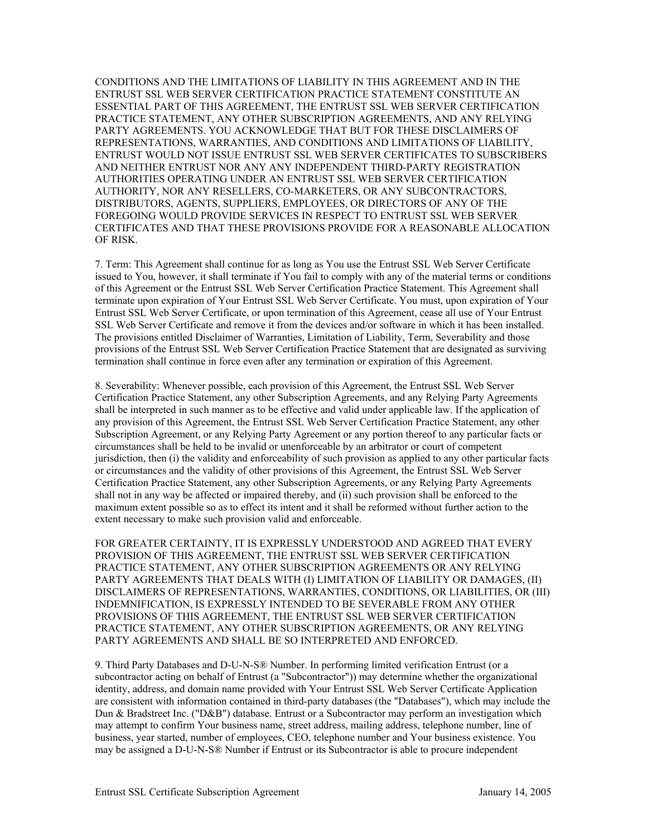CONDITIONS AND THE LIMITATIONS OF LIABILITY IN THIS AGREEMENT AND IN THE ENTRUST SSL WEB SERVER CERTIFICATION PRACTICE STATEMENT CONSTITUTE AN ESSENTIAL PART OF THIS AGREEMENT, THE ENTRUST SSL WEB SERVER CERTIFICATION PRACTICE STATEMENT, ANY OTHER SUBSCRIPTION AGREEMENTS, AND ANY RELYING PARTY AGREEMENTS. YOU ACKNOWLEDGE THAT BUT FOR THESE DISCLAIMERS OF REPRESENTATIONS, WARRANTIES, AND CONDITIONS AND LIMITATIONS OF LIABILITY, ENTRUST WOULD NOT ISSUE ENTRUST SSL WEB SERVER CERTIFICATES TO SUBSCRIBERS AND NEITHER ENTRUST NOR ANY ANY INDEPENDENT THIRD-PARTY REGISTRATION AUTHORITIES OPERATING UNDER AN ENTRUST SSL WEB SERVER CERTIFICATION AUTHORITY, NOR ANY RESELLERS, CO-MARKETERS, OR ANY SUBCONTRACTORS, DISTRIBUTORS, AGENTS, SUPPLIERS, EMPLOYEES, OR DIRECTORS OF ANY OF THE FOREGOING WOULD PROVIDE SERVICES IN RESPECT TO ENTRUST SSL WEB SERVER CERTIFICATES AND THAT THESE PROVISIONS PROVIDE FOR A REASONABLE ALLOCATION OF RISK.

7. Term: This Agreement shall continue for as long as You use the Entrust SSL Web Server Certificate issued to You, however, it shall terminate if You fail to comply with any of the material terms or conditions of this Agreement or the Entrust SSL Web Server Certification Practice Statement. This Agreement shall terminate upon expiration of Your Entrust SSL Web Server Certificate. You must, upon expiration of Your Entrust SSL Web Server Certificate, or upon termination of this Agreement, cease all use of Your Entrust SSL Web Server Certificate and remove it from the devices and/or software in which it has been installed. The provisions entitled Disclaimer of Warranties, Limitation of Liability, Term, Severability and those provisions of the Entrust SSL Web Server Certification Practice Statement that are designated as surviving termination shall continue in force even after any termination or expiration of this Agreement.

8. Severability: Whenever possible, each provision of this Agreement, the Entrust SSL Web Server Certification Practice Statement, any other Subscription Agreements, and any Relying Party Agreements shall be interpreted in such manner as to be effective and valid under applicable law. If the application of any provision of this Agreement, the Entrust SSL Web Server Certification Practice Statement, any other Subscription Agreement, or any Relying Party Agreement or any portion thereof to any particular facts or circumstances shall be held to be invalid or unenforceable by an arbitrator or court of competent jurisdiction, then (i) the validity and enforceability of such provision as applied to any other particular facts or circumstances and the validity of other provisions of this Agreement, the Entrust SSL Web Server Certification Practice Statement, any other Subscription Agreements, or any Relying Party Agreements shall not in any way be affected or impaired thereby, and (ii) such provision shall be enforced to the maximum extent possible so as to effect its intent and it shall be reformed without further action to the extent necessary to make such provision valid and enforceable.

FOR GREATER CERTAINTY, IT IS EXPRESSLY UNDERSTOOD AND AGREED THAT EVERY PROVISION OF THIS AGREEMENT, THE ENTRUST SSL WEB SERVER CERTIFICATION PRACTICE STATEMENT, ANY OTHER SUBSCRIPTION AGREEMENTS OR ANY RELYING PARTY AGREEMENTS THAT DEALS WITH (I) LIMITATION OF LIABILITY OR DAMAGES, (II) DISCLAIMERS OF REPRESENTATIONS, WARRANTIES, CONDITIONS, OR LIABILITIES, OR (III) INDEMNIFICATION, IS EXPRESSLY INTENDED TO BE SEVERABLE FROM ANY OTHER PROVISIONS OF THIS AGREEMENT, THE ENTRUST SSL WEB SERVER CERTIFICATION PRACTICE STATEMENT, ANY OTHER SUBSCRIPTION AGREEMENTS, OR ANY RELYING PARTY AGREEMENTS AND SHALL BE SO INTERPRETED AND ENFORCED.

9. Third Party Databases and D-U-N-S® Number. In performing limited verification Entrust (or a subcontractor acting on behalf of Entrust (a "Subcontractor")) may determine whether the organizational identity, address, and domain name provided with Your Entrust SSL Web Server Certificate Application are consistent with information contained in third-party databases (the "Databases"), which may include the Dun & Bradstreet Inc. ("D&B") database. Entrust or a Subcontractor may perform an investigation which may attempt to confirm Your business name, street address, mailing address, telephone number, line of business, year started, number of employees, CEO, telephone number and Your business existence. You may be assigned a D-U-N-S® Number if Entrust or its Subcontractor is able to procure independent